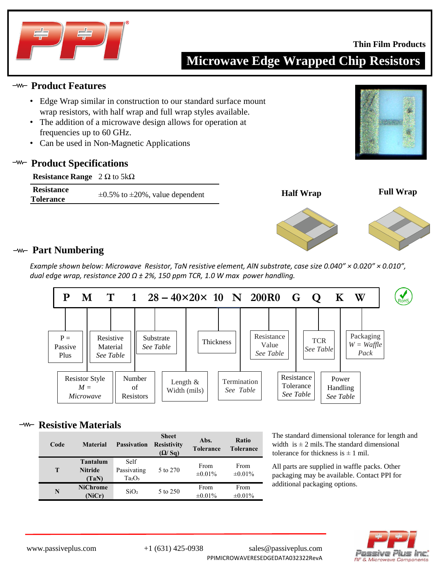

### **Thin Film Products**

## **Microwave Edge Wrapped Chip Resistors**

## **Product Features**

- Edge Wrap similar in construction to our standard surface mount wrap resistors, with half wrap and full wrap styles available.
- The addition of a microwave design allows for operation at frequencies up to 60 GHz.
- Can be used in Non-Magnetic Applications

## **Product Specifications**

| <b>Resistance Range</b> $2 \Omega$ to $5k\Omega$ |                                             |
|--------------------------------------------------|---------------------------------------------|
| <b>Resistance</b>                                |                                             |
| <b>Tolerance</b>                                 | $\pm 0.5\%$ to $\pm 20\%$ , value dependent |







## **Part Numbering**

*Example shown below: Microwave Resistor, TaN resistive element, AlN substrate, case size 0.040" × 0.020" × 0.010", dual edge wrap, resistance 200 Ω ± 2%, 150 ppm TCR, 1.0 W max power handling.*



## **Resistive Materials**

| Code | <b>Material</b>                            | <b>Passivation</b>                                    | <b>Sheet</b><br><b>Resistivity</b><br>(Q/Sq) | Abs.<br><b>Tolerance</b> | <b>Ratio</b><br><b>Tolerance</b> |
|------|--------------------------------------------|-------------------------------------------------------|----------------------------------------------|--------------------------|----------------------------------|
| T    | <b>Tantalum</b><br><b>Nitride</b><br>(TaN) | Self<br>Passivating<br>Ta <sub>2</sub> O <sub>5</sub> | 5 to 270                                     | From<br>$\pm 0.01\%$     | From<br>$\pm 0.01\%$             |
| N    | <b>NiChrome</b><br>(NiCr)                  | SiO <sub>2</sub>                                      | 5 to 250                                     | From<br>$\pm 0.01\%$     | From<br>$\pm 0.01\%$             |

The standard dimensional tolerance for length and width is  $\pm 2$  mils. The standard dimensional tolerance for thickness is  $\pm$  1 mil.

All parts are supplied in waffle packs. Other packaging may be available. Contact PPI for additional packaging options.

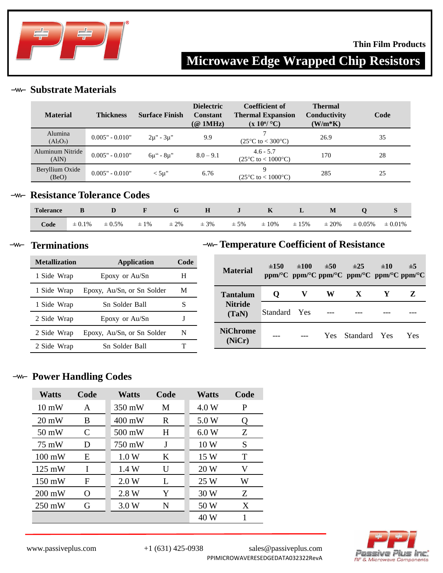

### **Thin Film Products**

# **Microwave Edge Wrapped Chip Resistors**

## **Substrate Materials**

| <b>Material</b>           | <b>Thickness</b>  | <b>Surface Finish</b> | <b>Dielectric</b><br><b>Constant</b><br>$(\textcircled{a}$ 1MHz) | Coefficient of<br><b>Thermal Expansion</b><br>$(x 10^6$ °C) | <b>Thermal</b><br>Conductivity<br>$(W/m*K)$ | Code |
|---------------------------|-------------------|-----------------------|------------------------------------------------------------------|-------------------------------------------------------------|---------------------------------------------|------|
| Alumina<br>$(Al_2O_3)$    | $0.005" - 0.010"$ | $2\mu$ " - $3\mu$ "   | 9.9                                                              | $(25^{\circ}C \text{ to } < 300^{\circ}C)$                  | 26.9                                        | 35   |
| Aluminum Nitride<br>(AIN) | $0.005" - 0.010"$ | $6\mu$ " - $8\mu$ "   | $8.0 - 9.1$                                                      | $4.6 - 5.7$<br>$(25^{\circ}C \text{ to } < 1000^{\circ}C)$  | 170                                         | 28   |
| Beryllium Oxide<br>(BeO)  | $0.005" - 0.010"$ | $<$ 5u"               | 6.76                                                             | $(25^{\circ}C \text{ to } < 1000^{\circ}C)$                 | 285                                         | 25   |

## **-w- Resistance Tolerance Codes**

| <b>Tolerance</b> |             |             | $\mathbf{F}$ |           |          |          | $\mathbf{K}$ |            | M          |              |              |
|------------------|-------------|-------------|--------------|-----------|----------|----------|--------------|------------|------------|--------------|--------------|
| Code             | $\pm 0.1\%$ | $\pm 0.5\%$ | $\pm 1\%$    | $\pm 2\%$ | $\pm$ 3% | $\pm$ 5% | $\pm~10\%$   | $\pm 15\%$ | $\pm 20\%$ | $\pm 0.05\%$ | $\pm 0.01\%$ |

#### $-w$ **Terminations**

## **Metallization Application Code** 1 Side Wrap Epoxy or Au/Sn H 1 Side Wrap Epoxy, Au/Sn, or Sn Solder M 1 Side Wrap Sn Solder Ball S 2 Side Wrap Epoxy or Au/Sn J 2 Side Wrap Epoxy, Au/Sn, or Sn Solder N 2 Side Wrap Sn Solder Ball T

## **Temperature Coefficient of Resistance**

| <b>Material</b>           | $\pm 150$    | $\pm 100$ | $\pm 50$ | $\pm 25$<br>ppm/°C ppm/°C ppm/°C ppm/°C ppm/°C ppm/°C | ±10 | $\pm$ 5 |
|---------------------------|--------------|-----------|----------|-------------------------------------------------------|-----|---------|
| Tantalum                  | O            |           | W        | X                                                     |     | Z       |
| <b>Nitride</b><br>(TaN)   | Standard Yes |           |          |                                                       |     |         |
| <b>NiChrome</b><br>(NiCr) |              |           |          | Yes Standard Yes                                      |     | Yes     |

## **-w- Power Handling Codes**

| <b>Watts</b>     | Code     | <b>Watts</b>     | Code | <b>Watts</b> | Code |
|------------------|----------|------------------|------|--------------|------|
| $10 \text{ mW}$  | A        | 350 mW           | M    | 4.0 W        | P    |
| $20 \text{ mW}$  | B        | $400 \text{ mW}$ | R    | 5.0 W        | 0    |
| $50 \text{ mW}$  | C        | 500 mW           | H    | 6.0W         | Z    |
| 75 mW            | D        | 750 mW           | J    | 10W          | S    |
| $100 \text{ mW}$ | E        | 1.0 W            | K    | 15 W         | Т    |
| $125 \text{ mW}$ | I        | 1.4W             | U    | 20 W         | V    |
| $150 \text{ mW}$ | F        | 2.0 W            | L    | 25 W         | W    |
| $200 \text{ mW}$ | $\Omega$ | 2.8 W            | Y    | 30 W         | Z    |
| $250 \text{ mW}$ | G        | 3.0 W            | N    | 50 W         | X    |
|                  |          |                  |      | 40 W         | 1    |

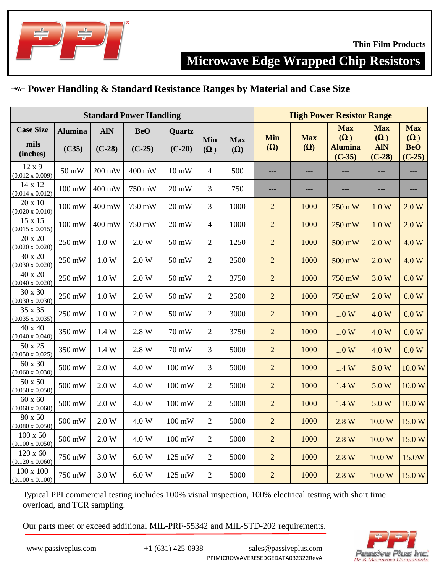

## **Microwave Edge Wrapped Chip Resistors**

## **Power Handling & Standard Resistance Ranges by Material and Case Size**

| <b>Standard Power Handling</b>             |                         |                        |                        |                         |                   |                          |                          |                          | <b>High Power Resistor Range</b>                       |                                                    |                                                    |
|--------------------------------------------|-------------------------|------------------------|------------------------|-------------------------|-------------------|--------------------------|--------------------------|--------------------------|--------------------------------------------------------|----------------------------------------------------|----------------------------------------------------|
| <b>Case Size</b><br>mils<br>(inches)       | <b>Alumina</b><br>(C35) | <b>AIN</b><br>$(C-28)$ | <b>BeO</b><br>$(C-25)$ | Quartz<br>$(C-20)$      | Min<br>$(\Omega)$ | <b>Max</b><br>$(\Omega)$ | <b>Min</b><br>$(\Omega)$ | <b>Max</b><br>$(\Omega)$ | <b>Max</b><br>$(\Omega)$<br><b>Alumina</b><br>$(C-35)$ | <b>Max</b><br>$(\Omega)$<br><b>AIN</b><br>$(C-28)$ | <b>Max</b><br>$(\Omega)$<br><b>BeO</b><br>$(C-25)$ |
| 12x9<br>$(0.012 \times 0.009)$             | 50 mW                   | 200 mW                 | 400 mW                 | 10 mW                   | $\overline{4}$    | 500                      | ---                      | ---                      | ---                                                    | ---                                                | ---                                                |
| 14 x 12<br>$(0.014 \times 0.012)$          | 100 mW                  | 400 mW                 | 750 mW                 | $20 \text{ mW}$         | 3                 | 750                      | ---                      | ---                      | ---                                                    | ---                                                | ---                                                |
| 20 x 10<br>$(0.020 \times 0.010)$          | $100 \text{ mW}$        | 400 mW                 | 750 mW                 | $20\text{ }\mathrm{mW}$ | 3                 | 1000                     | $\overline{2}$           | 1000                     | 250 mW                                                 | 1.0 W                                              | 2.0 W                                              |
| 15 x 15<br>$(0.015 \times 0.015)$          | $100 \text{ mW}$        | 400 mW                 | 750 mW                 | 20 mW                   | 4                 | 1000                     | $\overline{2}$           | 1000                     | 250 mW                                                 | 1.0 W                                              | 2.0 W                                              |
| 20 x 20<br>$(0.020 \times 0.020)$          | 250 mW                  | 1.0 W                  | 2.0 W                  | 50 mW                   | $\overline{2}$    | 1250                     | $\overline{2}$           | 1000                     | 500 mW                                                 | 2.0 W                                              | 4.0 W                                              |
| 30 x 20<br>$(0.030 \times 0.020)$          | 250 mW                  | 1.0 W                  | 2.0 W                  | 50 mW                   | $\overline{2}$    | 2500                     | $\overline{2}$           | 1000                     | 500 mW                                                 | 2.0 W                                              | 4.0 W                                              |
| 40 x 20<br>$(0.040 \times 0.020)$          | 250 mW                  | 1.0 W                  | 2.0 W                  | 50 mW                   | $\overline{2}$    | 3750                     | $\overline{2}$           | 1000                     | 750 mW                                                 | 3.0 W                                              | 6.0 W                                              |
| 30 x 30<br>$(0.030 \times 0.030)$          | 250 mW                  | 1.0 W                  | 2.0 W                  | 50 mW                   | $\overline{2}$    | 2500                     | $\overline{2}$           | 1000                     | 750 mW                                                 | 2.0 W                                              | 6.0 W                                              |
| 35 x 35<br>$(0.035 \times 0.035)$          | 250 mW                  | 1.0 W                  | 2.0 W                  | 50 mW                   | $\overline{2}$    | 3000                     | $\overline{2}$           | 1000                     | 1.0 W                                                  | 4.0 W                                              | 6.0 W                                              |
| 40 x 40<br>$(0.040 \times 0.040)$          | 350 mW                  | 1.4 W                  | 2.8 W                  | 70 mW                   | $\overline{2}$    | 3750                     | $\overline{2}$           | 1000                     | 1.0 W                                                  | 4.0 W                                              | 6.0 W                                              |
| 50 x 25<br>$(0.050 \times 0.025)$          | 350 mW                  | 1.4 W                  | 2.8 W                  | 70 mW                   | 3                 | 5000                     | $\overline{2}$           | 1000                     | 1.0 W                                                  | 4.0 W                                              | 6.0 W                                              |
| 60 x 30<br>$(0.060 \times 0.030)$          | 500 mW                  | 2.0 W                  | 4.0 W                  | $100 \text{ mW}$        | 3                 | 5000                     | $\overline{c}$           | 1000                     | 1.4W                                                   | 5.0 W                                              | 10.0 W                                             |
| 50 x 50<br>$(0.050 \times 0.050)$          | 500 mW                  | 2.0 W                  | 4.0 W                  | $100 \text{ mW}$        | $\overline{2}$    | 5000                     | $\overline{2}$           | 1000                     | 1.4W                                                   | 5.0 W                                              | 10.0 W                                             |
| $60 \times 60$<br>$(0.060 \times 0.060)$   | 500 mW                  | 2.0 W                  | 4.0 W                  | 100 mW                  | $\overline{2}$    | 5000                     | $\overline{2}$           | 1000                     | 1.4W                                                   | 5.0 W                                              | 10.0 W                                             |
| 80 x 50<br>$(0.080 \times 0.050)$          | 500 mW                  | 2.0 W                  | 4.0 W                  | 100 mW                  | $\overline{2}$    | 5000                     | $\overline{2}$           | 1000                     | 2.8 W                                                  | 10.0 W                                             | 15.0W                                              |
| $100 \times 50$<br>$(0.100 \times 0.050)$  | 500 mW                  | 2.0 W                  | 4.0 W                  | 100 mW                  | $\overline{2}$    | 5000                     | $\overline{2}$           | 1000                     | 2.8 W                                                  | 10.0 W                                             | 15.0W                                              |
| $120 \times 60$<br>$(0.120 \times 0.060)$  | 750 mW                  | 3.0 W                  | 6.0 W                  | 125 mW                  | $\overline{2}$    | 5000                     | $\overline{2}$           | 1000                     | 2.8 W                                                  | 10.0 W                                             | 15.0W                                              |
| $100 \times 100$<br>$(0.100 \times 0.100)$ | 750 mW                  | 3.0 W                  | $6.0\;\mathrm{W}$      | 125 mW                  | $\overline{2}$    | 5000                     | $\overline{2}$           | 1000                     | 2.8 W                                                  | 10.0 W                                             | 15.0 W                                             |

Typical PPI commercial testing includes 100% visual inspection, 100% electrical testing with short time overload, and TCR sampling.

Our parts meet or exceed additional MIL-PRF-55342 and MIL-STD-202 requirements.